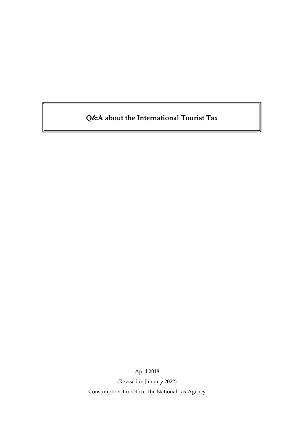# **Q&A about the International Tourist Tax**

April 2018

(Revised in January 2022) Consumption Tax Office, the National Tax Agency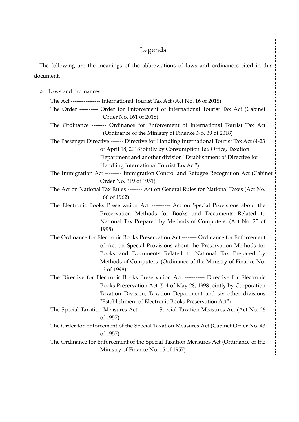## Legends

The following are the meanings of the abbreviations of laws and ordinances cited in this document.

○ Laws and ordinances

The Act ---------------- International Tourist Tax Act (Act No. 16 of 2018) The Order ---------- Order for Enforcement of International Tourist Tax Act (Cabinet Order No. 161 of 2018) The Ordinance -------- Ordinance for Enforcement of International Tourist Tax Act (Ordinance of the Ministry of Finance No. 39 of 2018) The Passenger Directive ------- Directive for Handling International Tourist Tax Act (4-23 of April 18, 2018 jointly by Consumption Tax Office, Taxation Department and another division "Establishment of Directive for Handling International Tourist Tax Act") The Immigration Act --------- Immigration Control and Refugee Recognition Act (Cabinet Order No. 319 of 1951) The Act on National Tax Rules -------- Act on General Rules for National Taxes (Act No. 66 of 1962) The Electronic Books Preservation Act ---------- Act on Special Provisions about the Preservation Methods for Books and Documents Related to National Tax Prepared by Methods of Computers. (Act No. 25 of 1998) The Ordinance for Electronic Books Preservation Act -------- Ordinance for Enforcement of Act on Special Provisions about the Preservation Methods for Books and Documents Related to National Tax Prepared by Methods of Computers. (Ordinance of the Ministry of Finance No. 43 of 1998) The Directive for Electronic Books Preservation Act ----------- Directive for Electronic Books Preservation Act (5-4 of May 28, 1998 jointly by Corporation Taxation Division, Taxation Department and six other divisions "Establishment of Electronic Books Preservation Act") The Special Taxation Measures Act ---------- Special Taxation Measures Act (Act No. 26 of 1957) The Order for Enforcement of the Special Taxation Measures Act (Cabinet Order No. 43 of 1957) The Ordinance for Enforcement of the Special Taxation Measures Act (Ordinance of the Ministry of Finance No. 15 of 1957)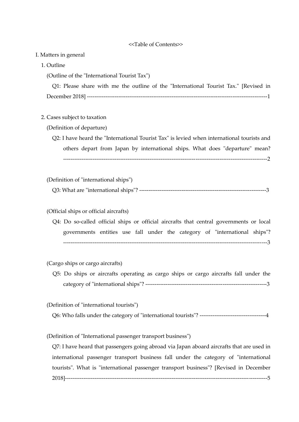#### <<Table of Contents>>

#### I. Matters in general

1. Outline

(Outline of the "International Tourist Tax")

|  |  |  |  | Q1: Please share with me the outline of the "International Tourist Tax." [Revised in |  |  |
|--|--|--|--|--------------------------------------------------------------------------------------|--|--|
|  |  |  |  |                                                                                      |  |  |

## 2. Cases subject to taxation

(Definition of departure)

 Q2: I have heard the "International Tourist Tax" is levied when international tourists and others depart from Japan by international ships. What does "departure" mean? ---------------------------------------------------------------------------------------------------------------2

#### (Definition of "international ships")

| ີ້<br>$^{\prime}$<br>ar | `1nt∈<br>на<br>лонаг | ,,,<br>ships | __________ |  |
|-------------------------|----------------------|--------------|------------|--|
|                         |                      |              |            |  |

## (Official ships or official aircrafts)

 Q4: Do so-called official ships or official aircrafts that central governments or local governments entities use fall under the category of "international ships"? ---------------------------------------------------------------------------------------------------------------3

## (Cargo ships or cargo aircrafts)

 Q5: Do ships or aircrafts operating as cargo ships or cargo aircrafts fall under the category of "international ships"? ------------------------------------------------------------------3

(Definition of "international tourists")

Q6: Who falls under the category of "international tourists"? ------------------------------------4

(Definition of "International passenger transport business")

 Q7: I have heard that passengers going abroad via Japan aboard aircrafts that are used in international passenger transport business fall under the category of "international tourists". What is "international passenger transport business"? [Revised in December 2018]--------------------------------------------------------------------------------------------------------------5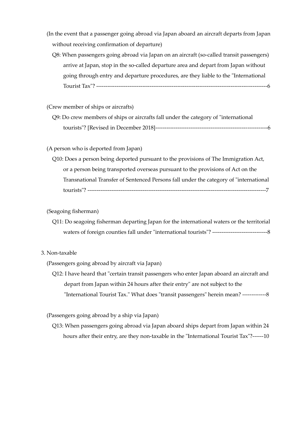- (In the event that a passenger going abroad via Japan aboard an aircraft departs from Japan without receiving confirmation of departure)
	- Q8: When passengers going abroad via Japan on an aircraft (so-called transit passengers) arrive at Japan, stop in the so-called departure area and depart from Japan without going through entry and departure procedures, are they liable to the "International Tourist Tax"? ---------------------------------------------------------------------------------------------6

(Crew member of ships or aircrafts)

 Q9: Do crew members of ships or aircrafts fall under the category of "international tourists"? [Revised in December 2018]-------------------------------------------------------------6

(A person who is deported from Japan)

 Q10: Does a person being deported pursuant to the provisions of The Immigration Act, or a person being transported overseas pursuant to the provisions of Act on the Transnational Transfer of Sentenced Persons fall under the category of "international tourists"? -------------------------------------------------------------------------------------------------7

(Seagoing fisherman)

 Q11: Do seagoing fisherman departing Japan for the international waters or the territorial waters of foreign counties fall under "international tourists"? ------------------------------8

#### 3. Non-taxable

(Passengers going abroad by aircraft via Japan)

 Q12: I have heard that "certain transit passengers who enter Japan aboard an aircraft and depart from Japan within 24 hours after their entry" are not subject to the "International Tourist Tax." What does "transit passengers" herein mean? -------------8

(Passengers going abroad by a ship via Japan)

Q13: When passengers going abroad via Japan aboard ships depart from Japan within 24 hours after their entry, are they non-taxable in the "International Tourist Tax"?------10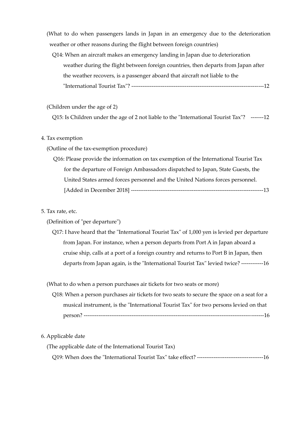(What to do when passengers lands in Japan in an emergency due to the deterioration weather or other reasons during the flight between foreign countries)

 Q14: When an aircraft makes an emergency landing in Japan due to deterioration weather during the flight between foreign countries, then departs from Japan after the weather recovers, is a passenger aboard that aircraft not liable to the "International Tourist Tax"? ------------------------------------------------------------------------12

## (Children under the age of 2)

Q15: Is Children under the age of 2 not liable to the "International Tourist Tax"? -------12

#### 4. Tax exemption

(Outline of the tax-exemption procedure)

Q16: Please provide the information on tax exemption of the International Tourist Tax for the departure of Foreign Ambassadors dispatched to Japan, State Guests, the United States armed forces personnel and the United Nations forces personnel. [Added in December 2018] ------------------------------------------------------------------------13

## 5. Tax rate, etc.

(Definition of "per departure")

 Q17: I have heard that the "International Tourist Tax" of 1,000 yen is levied per departure from Japan. For instance, when a person departs from Port A in Japan aboard a cruise ship, calls at a port of a foreign country and returns to Port B in Japan, then departs from Japan again, is the "International Tourist Tax" levied twice? ------------16

(What to do when a person purchases air tickets for two seats or more)

Q18: When a person purchases air tickets for two seats to secure the space on a seat for a musical instrument, is the "International Tourist Tax" for two persons levied on that person? --------------------------------------------------------------------------------------------------16

## 6. Applicable date

| (The applicable date of the International Tourist Tax) |  |
|--------------------------------------------------------|--|
|                                                        |  |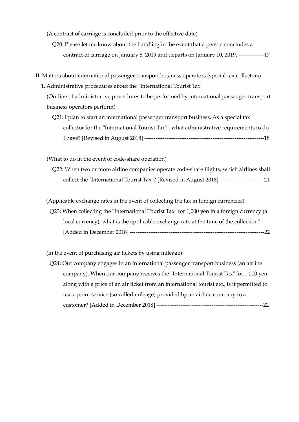(A contract of carriage is concluded prior to the effective date)

 Q20: Please let me know about the handling in the event that a person concludes a contract of carriage on January 5, 2019 and departs on January 10, 2019. --------------17

- II. Matters about international passenger transport business operators (special tax collectors)
	- 1. Administrative procedures about the "International Tourist Tax"
		- (Outline of administrative procedures to be performed by international passenger transport business operators perform)
			- Q21: I plan to start an international passenger transport business. As a special tax collector for the "International Tourist Tax" , what administrative requirements to do I have? [Revised in August 2018] -----------------------------------------------------------------18

(What to do in the event of code-share operation)

 Q22: When two or more airline companies operate code-share flights, which airlines shall collect the "International Tourist Tax"? [Revised in August 2018] ------------------------21

(Applicable exchange rates in the event of collecting the tax in foreign currencies)

Q23: When collecting the "International Tourist Tax" for 1,000 yen in a foreign currency (a local currency), what is the applicable exchange rate at the time of the collection? [Added in December 2018] -------------------------------------------------------------------------22

(In the event of purchasing air tickets by using mileage)

Q24: Our company engages in an international passenger transport business (an airline company). When our company receives the "International Tourist Tax" for 1,000 yen along with a price of an air ticket from an international tourist etc., is it permitted to use a point service (so-called mileage) provided by an airline company to a customer? [Added in December 2018] ----------------------------------------------------------22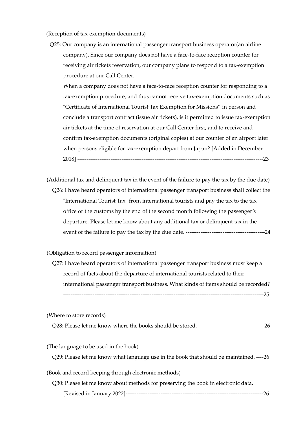(Reception of tax-exemption documents)

Q25: Our company is an international passenger transport business operator(an airline company). Since our company does not have a face-to-face reception counter for receiving air tickets reservation, our company plans to respond to a tax-exemption procedure at our Call Center.

When a company does not have a face-to-face reception counter for responding to a tax-exemption procedure, and thus cannot receive tax-exemption documents such as "Certificate of International Tourist Tax Exemption for Missions" in person and conclude a transport contract (issue air tickets), is it permitted to issue tax-exemption air tickets at the time of reservation at our Call Center first, and to receive and confirm tax-exemption documents (original copies) at our counter of an airport later when persons eligible for tax-exemption depart from Japan? [Added in December 2018] -----------------------------------------------------------------------------------------------------23

 (Additional tax and delinquent tax in the event of the failure to pay the tax by the due date) Q26: I have heard operators of international passenger transport business shall collect the "International Tourist Tax" from international tourists and pay the tax to the tax office or the customs by the end of the second month following the passenger's departure. Please let me know about any additional tax or delinquent tax in the event of the failure to pay the tax by the due date. -------------------------------------------24

(Obligation to record passenger information)

 Q27: I have heard operators of international passenger transport business must keep a record of facts about the departure of international tourists related to their international passenger transport business. What kinds of items should be recorded? -------------------------------------------------------------------------------------------------------------25

(Where to store records)

Q28: Please let me know where the books should be stored. ------------------------------------26

(The language to be used in the book)

Q29: Please let me know what language use in the book that should be maintained. ----26

(Book and record keeping through electronic methods)

 Q30: Please let me know about methods for preserving the book in electronic data. [Revised in January 2022]---------------------------------------------------------------------------26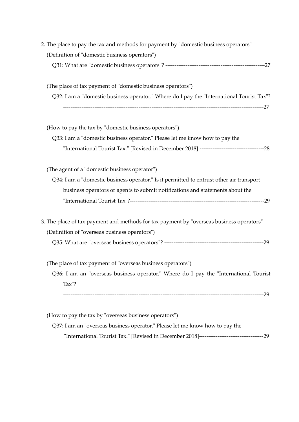| 2. The place to pay the tax and methods for payment by "domestic business operators"      |
|-------------------------------------------------------------------------------------------|
| (Definition of "domestic business operators")                                             |
|                                                                                           |
| (The place of tax payment of "domestic business operators")                               |
| Q32: I am a "domestic business operator." Where do I pay the "International Tourist Tax"? |
|                                                                                           |
| (How to pay the tax by "domestic business operators")                                     |
| Q33: I am a "domestic business operator." Please let me know how to pay the               |
|                                                                                           |
| (The agent of a "domestic business operator")                                             |
| Q34: I am a "domestic business operator." Is it permitted to entrust other air transport  |
| business operators or agents to submit notifications and statements about the             |
|                                                                                           |
| 3. The place of tax payment and methods for tax payment by "overseas business operators"  |
| (Definition of "overseas business operators")                                             |
|                                                                                           |
| (The place of tax payment of "overseas business operators")                               |
| Q36: I am an "overseas business operator." Where do I pay the "International Tourist      |
| Tax"?                                                                                     |
|                                                                                           |
| (How to pay the tax by "overseas business operators")                                     |
| Q37: I am an "overseas business operator." Please let me know how to pay the              |
|                                                                                           |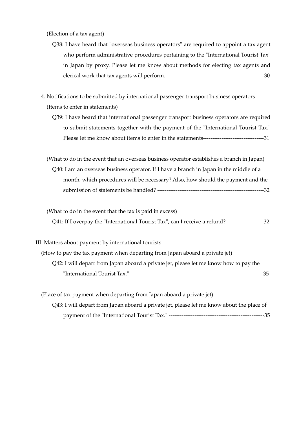(Election of a tax agent)

- Q38: I have heard that "overseas business operators" are required to appoint a tax agent who perform administrative procedures pertaining to the "International Tourist Tax" in Japan by proxy. Please let me know about methods for electing tax agents and clerical work that tax agents will perform. -----------------------------------------------------30
- 4. Notifications to be submitted by international passenger transport business operators (Items to enter in statements)
	- Q39: I have heard that international passenger transport business operators are required to submit statements together with the payment of the "International Tourist Tax." Please let me know about items to enter in the statements---------------------------------31
	- (What to do in the event that an overseas business operator establishes a branch in Japan) Q40: I am an overseas business operator. If I have a branch in Japan in the middle of a month, which procedures will be necessary? Also, how should the payment and the submission of statements be handled? ----------------------------------------------------------32
	- (What to do in the event that the tax is paid in excess) Q41: If I overpay the "International Tourist Tax", can I receive a refund? --------------------32
- III. Matters about payment by international tourists

| (How to pay the tax payment when departing from Japan aboard a private jet)           |     |
|---------------------------------------------------------------------------------------|-----|
| Q42: I will depart from Japan aboard a private jet, please let me know how to pay the |     |
| "International Tourist Tax."-----------------------------------                       | -35 |

(Place of tax payment when departing from Japan aboard a private jet) Q43: I will depart from Japan aboard a private jet, please let me know about the place of payment of the "International Tourist Tax." ----------------------------------------------------35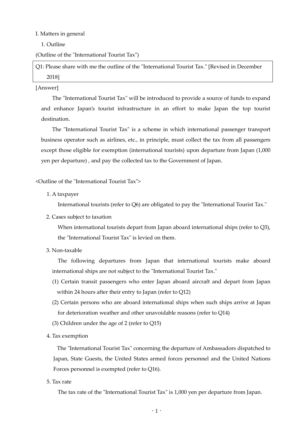#### I. Matters in general

1. Outline

(Outline of the "International Tourist Tax")

Q1: Please share with me the outline of the "International Tourist Tax." [Revised in December 2018]

### [Answer]

The "International Tourist Tax" will be introduced to provide a source of funds to expand and enhance Japan's tourist infrastructure in an effort to make Japan the top tourist destination.

The "International Tourist Tax" is a scheme in which international passenger transport business operator such as airlines, etc., in principle, must collect the tax from all passengers except those eligible for exemption (international tourists) upon departure from Japan (1,000 yen per departure) , and pay the collected tax to the Government of Japan.

## <Outline of the "International Tourist Tax">

1. A taxpayer

International tourists (refer to Q6) are obligated to pay the "International Tourist Tax."

2. Cases subject to taxation

When international tourists depart from Japan aboard international ships (refer to Q3), the "International Tourist Tax" is levied on them.

3. Non-taxable

The following departures from Japan that international tourists make aboard international ships are not subject to the "International Tourist Tax."

- (1) Certain transit passengers who enter Japan aboard aircraft and depart from Japan within 24 hours after their entry to Japan (refer to Q12)
- (2) Certain persons who are aboard international ships when such ships arrive at Japan for deterioration weather and other unavoidable reasons (refer to Q14)
- (3) Children under the age of 2 (refer to Q15)
- 4. Tax exemption

The "International Tourist Tax" concerning the departure of Ambassadors dispatched to Japan, State Guests, the United States armed forces personnel and the United Nations Forces personnel is exempted (refer to Q16).

5. Tax rate

The tax rate of the "International Tourist Tax" is 1,000 yen per departure from Japan.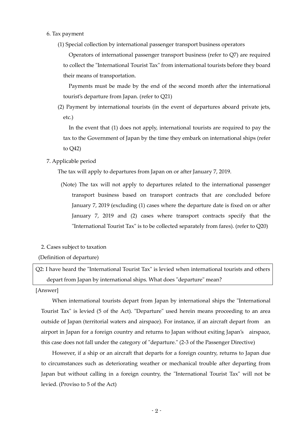- 6. Tax payment
	- (1) Special collection by international passenger transport business operators

 Operators of international passenger transport business (refer to Q7) are required to collect the "International Tourist Tax" from international tourists before they board their means of transportation.

Payments must be made by the end of the second month after the international tourist's departure from Japan. (refer to Q21)

 (2) Payment by international tourists (in the event of departures aboard private jets, etc.)

 In the event that (1) does not apply, international tourists are required to pay the tax to the Government of Japan by the time they embark on international ships (refer to Q42)

7. Applicable period

The tax will apply to departures from Japan on or after January 7, 2019.

(Note) The tax will not apply to departures related to the international passenger transport business based on transport contracts that are concluded before January 7, 2019 (excluding (1) cases where the departure date is fixed on or after January 7, 2019 and (2) cases where transport contracts specify that the "International Tourist Tax" is to be collected separately from fares). (refer to Q20)

## 2. Cases subject to taxation

(Definition of departure)

Q2: I have heard the "International Tourist Tax" is levied when international tourists and others depart from Japan by international ships. What does "departure" mean?

## [Answer]

When international tourists depart from Japan by international ships the "International Tourist Tax" is levied (5 of the Act). "Departure" used herein means proceeding to an area outside of Japan (territorial waters and airspace). For instance, if an aircraft depart from an airport in Japan for a foreign country and returns to Japan without exiting Japan's airspace, this case does not fall under the category of "departure." (2-3 of the Passenger Directive)

However, if a ship or an aircraft that departs for a foreign country, returns to Japan due to circumstances such as deteriorating weather or mechanical trouble after departing from Japan but without calling in a foreign country, the "International Tourist Tax" will not be levied. (Proviso to 5 of the Act)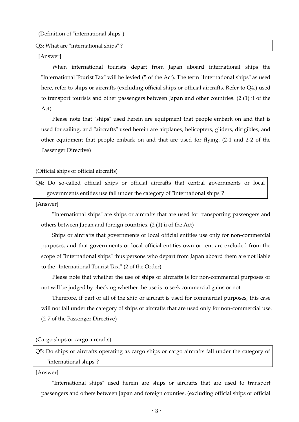(Definition of "international ships")

#### Q3: What are "international ships" ?

#### [Answer]

When international tourists depart from Japan aboard international ships the "International Tourist Tax" will be levied (5 of the Act). The term "International ships" as used here, refer to ships or aircrafts (excluding official ships or official aircrafts. Refer to Q4.) used to transport tourists and other passengers between Japan and other countries. (2 (1) ii of the Act)

Please note that "ships" used herein are equipment that people embark on and that is used for sailing, and "aircrafts" used herein are airplanes, helicopters, gliders, dirigibles, and other equipment that people embark on and that are used for flying. (2-1 and 2-2 of the Passenger Directive)

#### (Official ships or official aircrafts)

Q4: Do so-called official ships or official aircrafts that central governments or local governments entities use fall under the category of "international ships"?

#### [Answer]

"International ships" are ships or aircrafts that are used for transporting passengers and others between Japan and foreign countries. (2 (1) ii of the Act)

Ships or aircrafts that governments or local official entities use only for non-commercial purposes, and that governments or local official entities own or rent are excluded from the scope of "international ships" thus persons who depart from Japan aboard them are not liable to the "International Tourist Tax." (2 of the Order)

Please note that whether the use of ships or aircrafts is for non-commercial purposes or not will be judged by checking whether the use is to seek commercial gains or not.

Therefore, if part or all of the ship or aircraft is used for commercial purposes, this case will not fall under the category of ships or aircrafts that are used only for non-commercial use. (2-7 of the Passenger Directive)

## (Cargo ships or cargo aircrafts)

Q5: Do ships or aircrafts operating as cargo ships or cargo aircrafts fall under the category of "international ships"?

#### [Answer]

"International ships" used herein are ships or aircrafts that are used to transport passengers and others between Japan and foreign counties. (excluding official ships or official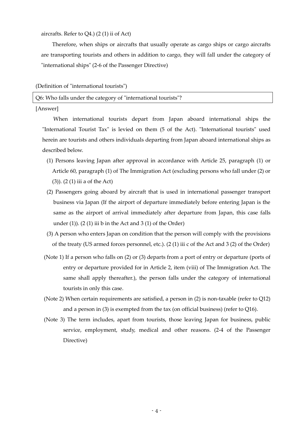aircrafts. Refer to Q4.) (2 (1) ii of Act)

Therefore, when ships or aircrafts that usually operate as cargo ships or cargo aircrafts are transporting tourists and others in addition to cargo, they will fall under the category of "international ships" (2-6 of the Passenger Directive)

#### (Definition of "international tourists")

Q6: Who falls under the category of "international tourists"?

[Answer]

When international tourists depart from Japan aboard international ships the "International Tourist Tax" is levied on them (5 of the Act). "International tourists" used herein are tourists and others individuals departing from Japan aboard international ships as described below.

- (1) Persons leaving Japan after approval in accordance with Article 25, paragraph (1) or Article 60, paragraph (1) of The Immigration Act (excluding persons who fall under (2) or (3)). (2 (1) iii a of the Act)
- (2) Passengers going aboard by aircraft that is used in international passenger transport business via Japan (If the airport of departure immediately before entering Japan is the same as the airport of arrival immediately after departure from Japan, this case falls under  $(1)$ ).  $(2(1)$  iii b in the Act and  $3(1)$  of the Order)
- (3) A person who enters Japan on condition that the person will comply with the provisions of the treaty (US armed forces personnel, etc.). (2 (1) iii c of the Act and 3 (2) of the Order)
- (Note 1) If a person who falls on (2) or (3) departs from a port of entry or departure (ports of entry or departure provided for in Article 2, item (viii) of The Immigration Act. The same shall apply thereafter.), the person falls under the category of international tourists in only this case.
- (Note 2) When certain requirements are satisfied, a person in (2) is non-taxable (refer to Q12) and a person in (3) is exempted from the tax (on official business) (refer to Q16).
- (Note 3) The term includes, apart from tourists, those leaving Japan for business, public service, employment, study, medical and other reasons. (2-4 of the Passenger Directive)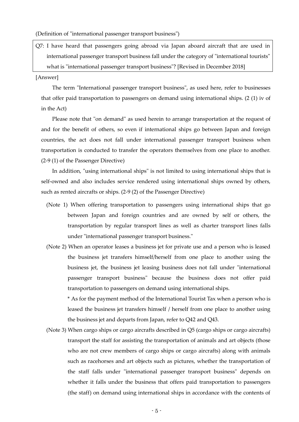(Definition of "international passenger transport business")

Q7: I have heard that passengers going abroad via Japan aboard aircraft that are used in international passenger transport business fall under the category of "international tourists" what is "international passenger transport business"? [Revised in December 2018]

#### [Answer]

The term "International passenger transport business", as used here, refer to businesses that offer paid transportation to passengers on demand using international ships. (2 (1) iv of in the Act)

Please note that "on demand" as used herein to arrange transportation at the request of and for the benefit of others, so even if international ships go between Japan and foreign countries, the act does not fall under international passenger transport business when transportation is conducted to transfer the operators themselves from one place to another. (2-9 (1) of the Passenger Directive)

In addition, "using international ships" is not limited to using international ships that is self-owned and also includes service rendered using international ships owned by others, such as rented aircrafts or ships. (2-9 (2) of the Passenger Directive)

- (Note 1) When offering transportation to passengers using international ships that go between Japan and foreign countries and are owned by self or others, the transportation by regular transport lines as well as charter transport lines falls under "international passenger transport business."
- (Note 2) When an operator leases a business jet for private use and a person who is leased the business jet transfers himself/herself from one place to another using the business jet, the business jet leasing business does not fall under "international passenger transport business" because the business does not offer paid transportation to passengers on demand using international ships.

\* As for the payment method of the International Tourist Tax when a person who is leased the business jet transfers himself / herself from one place to another using the business jet and departs from Japan, refer to Q42 and Q43.

(Note 3) When cargo ships or cargo aircrafts described in Q5 (cargo ships or cargo aircrafts) transport the staff for assisting the transportation of animals and art objects (those who are not crew members of cargo ships or cargo aircrafts) along with animals such as racehorses and art objects such as pictures, whether the transportation of the staff falls under "international passenger transport business" depends on whether it falls under the business that offers paid transportation to passengers (the staff) on demand using international ships in accordance with the contents of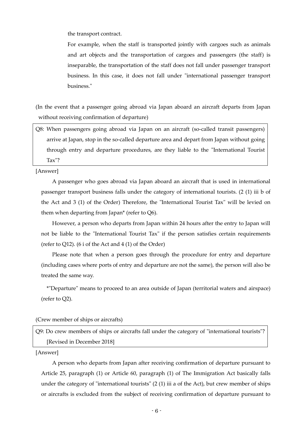the transport contract.

For example, when the staff is transported jointly with cargoes such as animals and art objects and the transportation of cargoes and passengers (the staff) is inseparable, the transportation of the staff does not fall under passenger transport business. In this case, it does not fall under "international passenger transport business."

(In the event that a passenger going abroad via Japan aboard an aircraft departs from Japan without receiving confirmation of departure)

Q8: When passengers going abroad via Japan on an aircraft (so-called transit passengers) arrive at Japan, stop in the so-called departure area and depart from Japan without going through entry and departure procedures, are they liable to the "International Tourist Tax"?

[Answer]

A passenger who goes abroad via Japan aboard an aircraft that is used in international passenger transport business falls under the category of international tourists. (2 (1) iii b of the Act and 3 (1) of the Order) Therefore, the "International Tourist Tax" will be levied on them when departing from Japan\* (refer to Q6).

However, a person who departs from Japan within 24 hours after the entry to Japan will not be liable to the "International Tourist Tax" if the person satisfies certain requirements (refer to Q12). (6 i of the Act and 4 (1) of the Order)

Please note that when a person goes through the procedure for entry and departure (including cases where ports of entry and departure are not the same), the person will also be treated the same way.

\*"Departure" means to proceed to an area outside of Japan (territorial waters and airspace) (refer to Q2).

(Crew member of ships or aircrafts)

Q9: Do crew members of ships or aircrafts fall under the category of "international tourists"? [Revised in December 2018]

[Answer]

A person who departs from Japan after receiving confirmation of departure pursuant to Article 25, paragraph (1) or Article 60, paragraph (1) of The Immigration Act basically falls under the category of "international tourists"  $(2 \t1)$  iii a of the Act), but crew member of ships or aircrafts is excluded from the subject of receiving confirmation of departure pursuant to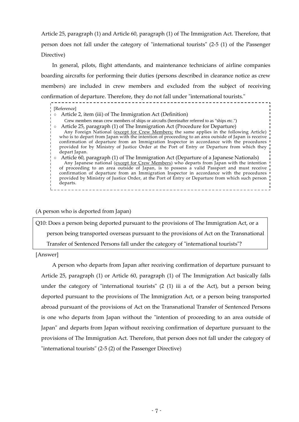Article 25, paragraph (1) and Article 60, paragraph (1) of The Immigration Act. Therefore, that person does not fall under the category of "international tourists" (2-5 (1) of the Passenger Directive)

In general, pilots, flight attendants, and maintenance technicians of airline companies boarding aircrafts for performing their duties (persons described in clearance notice as crew members) are included in crew members and excluded from the subject of receiving confirmation of departure. Therefore, they do not fall under "international tourists."

| [Reference]                                                                                                                                                                                      |
|--------------------------------------------------------------------------------------------------------------------------------------------------------------------------------------------------|
| Article 2, item (iii) of The Immigration Act (Definition)                                                                                                                                        |
| Crew members mean crew members of ships or aircrafts (hereinafter referred to as "ships etc.")                                                                                                   |
| Article 25, paragraph (1) of The Immigration Act (Procedure for Departure)                                                                                                                       |
| Any Foreign National (except for Crew Members; the same applies in the following Article)                                                                                                        |
| who is to depart from Japan with the intention of proceeding to an area outside of Japan is receive<br>confirmation of departure from an Immigration Inspector in accordance with the procedures |
| provided for by Ministry of Justice Order at the Port of Entry or Departure from which they                                                                                                      |
| depart Japan.                                                                                                                                                                                    |
| Article 60, paragraph (1) of The Immigration Act (Departure of a Japanese Nationals)                                                                                                             |
| Any Japanese national (except for Crew Members) who departs from Japan with the intention                                                                                                        |
| of proceeding to an area outside of Japan, is to possess a valid Passport and must receive                                                                                                       |
| confirmation of departure from an Immigration Inspector in accordance with the procedures                                                                                                        |
| provided by Ministry of Justice Order, at the Port of Entry or Departure from which such person<br>departs.                                                                                      |
|                                                                                                                                                                                                  |

## (A person who is deported from Japan)

Q10: Does a person being deported pursuant to the provisions of The Immigration Act, or a person being transported overseas pursuant to the provisions of Act on the Transnational Transfer of Sentenced Persons fall under the category of "international tourists"?

[Answer]

A person who departs from Japan after receiving confirmation of departure pursuant to Article 25, paragraph (1) or Article 60, paragraph (1) of The Immigration Act basically falls under the category of "international tourists" (2 (1) iii a of the Act), but a person being deported pursuant to the provisions of The Immigration Act, or a person being transported abroad pursuant of the provisions of Act on the Transnational Transfer of Sentenced Persons is one who departs from Japan without the "intention of proceeding to an area outside of Japan" and departs from Japan without receiving confirmation of departure pursuant to the provisions of The Immigration Act. Therefore, that person does not fall under the category of "international tourists" (2-5 (2) of the Passenger Directive)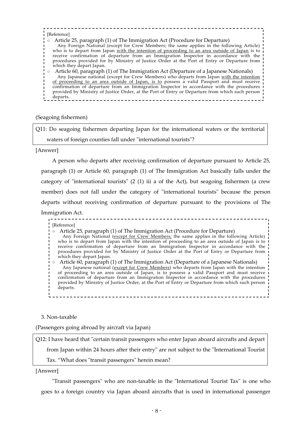#### [Reference] ○ Article 25, paragraph (1) of The Immigration Act (Procedure for Departure) Any Foreign National (except for Crew Members; the same applies in the following Article) who is to depart from Japan <u>with the intention of proceeding to an area outside of Japan</u> is to receive confirmation of departure from an Immigration Inspector in accordance with the procedures provided for by Ministry of Justice Order at the Port of Entry or Departure from which they depart Japan. ○ Article 60, paragraph (1) of The Immigration Act (Departure of a Japanese Nationals) Any Japanese national (except for Crew Members) who departs from Japan with the intention <u>of proceeding to an area outside of Japan, is to</u> possess a valid Passport and must receive confirmation of departure from an Immigration Inspector in accordance with the procedures provided by Ministry of Justice Order, at the Port of Entry or Departure from which such person departs.

(Seagoing fishermen)

Q11: Do seagoing fishermen departing Japan for the international waters or the territorial waters of foreign counties fall under "international tourists"?

[Answer]

A person who departs after receiving confirmation of departure pursuant to Article 25, paragraph (1) or Article 60, paragraph (1) of The Immigration Act basically falls under the category of "international tourists" (2 (1) iii a of the Act), but seagoing fishermen (a crew member) does not fall under the category of "international tourists" because the person departs without receiving confirmation of departure pursuant to the provisions of The Immigration Act.

[Reference]

- Article 25, paragraph (1) of The Immigration Act (Procedure for Departure) Any Foreign National (except for Crew Members; the same applies in the following Article) who is to depart from Japan with the intention of proceeding to an area outside of Japan is to receive confirmation of departure from an Immigration Inspector in accordance with the procedures provided for by Ministry of Justice Order at the Port of Entry or Departure from which they depart Japan.  $\circ$  Article 60, paragraph (1) of The Immigration Act (Departure of a Japanese Nationals)
- Any Japanese national (except for Crew Members) who departs from Japan with the intention of proceeding to an area outside of Japan, is to possess a valid Passport and must receive confirmation of departure from an Immigration Inspector in accordance with the procedures provided by Ministry of Justice Order, at the Port of Entry or Departure from which such person departs.

3. Non-taxable

(Passengers going abroad by aircraft via Japan)

Q12: I have heard that "certain transit passengers who enter Japan aboard aircrafts and depart

from Japan within 24 hours after their entry" are not subject to the "International Tourist

Tax. "What does "transit passengers" herein mean?

[Answer]

"Transit passengers" who are non-taxable in the "International Tourist Tax" is one who goes to a foreign country via Japan aboard aircrafts that is used in international passenger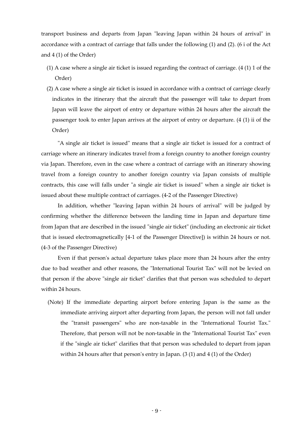transport business and departs from Japan "leaving Japan within 24 hours of arrival" in accordance with a contract of carriage that falls under the following (1) and (2). (6 i of the Act and 4 (1) of the Order)

- (1) A case where a single air ticket is issued regarding the contract of carriage. (4 (1) 1 of the Order)
- (2) A case where a single air ticket is issued in accordance with a contract of carriage clearly indicates in the itinerary that the aircraft that the passenger will take to depart from Japan will leave the airport of entry or departure within 24 hours after the aircraft the passenger took to enter Japan arrives at the airport of entry or departure. (4 (1) ii of the Order)

"A single air ticket is issued" means that a single air ticket is issued for a contract of carriage where an itinerary indicates travel from a foreign country to another foreign country via Japan. Therefore, even in the case where a contract of carriage with an itinerary showing travel from a foreign country to another foreign country via Japan consists of multiple contracts, this case will falls under "a single air ticket is issued" when a single air ticket is issued about these multiple contract of carriages. (4-2 of the Passenger Directive)

In addition, whether "leaving Japan within 24 hours of arrival" will be judged by confirming whether the difference between the landing time in Japan and departure time from Japan that are described in the issued "single air ticket" (including an electronic air ticket that is issued electromagnetically [4-1 of the Passenger Directive]) is within 24 hours or not. (4-3 of the Passenger Directive)

Even if that person's actual departure takes place more than 24 hours after the entry due to bad weather and other reasons, the "International Tourist Tax" will not be levied on that person if the above "single air ticket" clarifies that that person was scheduled to depart within 24 hours.

 (Note) If the immediate departing airport before entering Japan is the same as the immediate arriving airport after departing from Japan, the person will not fall under the "transit passengers" who are non-taxable in the "International Tourist Tax." Therefore, that person will not be non-taxable in the "International Tourist Tax" even if the "single air ticket" clarifies that that person was scheduled to depart from japan within 24 hours after that person's entry in Japan. (3 (1) and 4 (1) of the Order)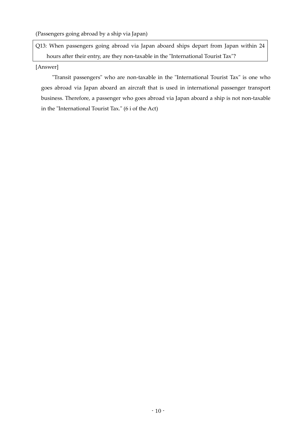(Passengers going abroad by a ship via Japan)

Q13: When passengers going abroad via Japan aboard ships depart from Japan within 24 hours after their entry, are they non-taxable in the "International Tourist Tax"?

## [Answer]

"Transit passengers" who are non-taxable in the "International Tourist Tax" is one who goes abroad via Japan aboard an aircraft that is used in international passenger transport business. Therefore, a passenger who goes abroad via Japan aboard a ship is not non-taxable in the "International Tourist Tax." (6 i of the Act)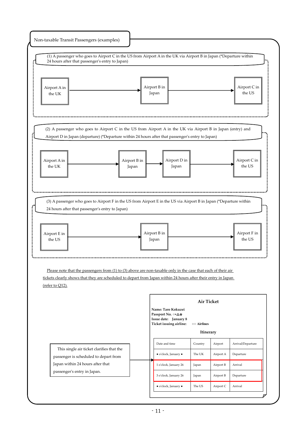|                                                                                                                                                                       | (1) A passenger who goes to Airport C in the US from Airport A in the UK via Airport B in Japan (*Departure within<br>24 hours after that passenger's entry to Japan)                                                              |  |              |                                                                   |                   |           |                        |
|-----------------------------------------------------------------------------------------------------------------------------------------------------------------------|------------------------------------------------------------------------------------------------------------------------------------------------------------------------------------------------------------------------------------|--|--------------|-------------------------------------------------------------------|-------------------|-----------|------------------------|
|                                                                                                                                                                       |                                                                                                                                                                                                                                    |  |              |                                                                   |                   |           |                        |
| Airport A in                                                                                                                                                          |                                                                                                                                                                                                                                    |  |              | Airport B in                                                      |                   |           | Airport C in           |
| the UK                                                                                                                                                                |                                                                                                                                                                                                                                    |  |              | Japan                                                             |                   |           | the US                 |
|                                                                                                                                                                       |                                                                                                                                                                                                                                    |  |              |                                                                   |                   |           |                        |
|                                                                                                                                                                       |                                                                                                                                                                                                                                    |  |              |                                                                   |                   |           |                        |
|                                                                                                                                                                       | (2) A passenger who goes to Airport C in the US from Airport A in the UK via Airport B in Japan (entry) and                                                                                                                        |  |              |                                                                   |                   |           |                        |
|                                                                                                                                                                       | Airport D in Japan (departure) (*Departure within 24 hours after that passenger's entry to Japan)                                                                                                                                  |  |              |                                                                   |                   |           |                        |
|                                                                                                                                                                       |                                                                                                                                                                                                                                    |  |              |                                                                   |                   |           |                        |
| Airport A in                                                                                                                                                          |                                                                                                                                                                                                                                    |  | Airport B in | Airport D in                                                      |                   |           | Airport C in           |
| the UK                                                                                                                                                                |                                                                                                                                                                                                                                    |  | Japan        | Japan                                                             |                   |           | the US                 |
|                                                                                                                                                                       |                                                                                                                                                                                                                                    |  |              |                                                                   |                   |           |                        |
|                                                                                                                                                                       |                                                                                                                                                                                                                                    |  |              |                                                                   |                   |           |                        |
|                                                                                                                                                                       |                                                                                                                                                                                                                                    |  |              |                                                                   |                   |           |                        |
| (3) A passenger who goes to Airport F in the US from Airport E in the US via Airport B in Japan (*Departure within<br>24 hours after that passenger's entry to Japan) |                                                                                                                                                                                                                                    |  |              |                                                                   |                   |           |                        |
|                                                                                                                                                                       |                                                                                                                                                                                                                                    |  |              |                                                                   |                   |           |                        |
|                                                                                                                                                                       |                                                                                                                                                                                                                                    |  |              |                                                                   |                   |           |                        |
|                                                                                                                                                                       |                                                                                                                                                                                                                                    |  |              |                                                                   |                   |           |                        |
| Airport E in<br>the US                                                                                                                                                |                                                                                                                                                                                                                                    |  |              | Airport B in<br>Japan                                             |                   |           | Airport F in<br>the US |
|                                                                                                                                                                       |                                                                                                                                                                                                                                    |  |              |                                                                   |                   |           |                        |
|                                                                                                                                                                       |                                                                                                                                                                                                                                    |  |              |                                                                   |                   |           |                        |
|                                                                                                                                                                       |                                                                                                                                                                                                                                    |  |              |                                                                   |                   |           |                        |
|                                                                                                                                                                       | Please note that the passengers from $(1)$ to $(3)$ above are non-taxable only in the case that each of their air<br>tickets clearly shows that they are scheduled to depart from Japan within 24 hours after their entry in Japan |  |              |                                                                   |                   |           |                        |
| (refer to Q12).                                                                                                                                                       |                                                                                                                                                                                                                                    |  |              |                                                                   |                   |           |                        |
|                                                                                                                                                                       |                                                                                                                                                                                                                                    |  |              |                                                                   |                   |           |                        |
|                                                                                                                                                                       |                                                                                                                                                                                                                                    |  |              | Name: Taro Kokuzei                                                | <b>Air Ticket</b> |           |                        |
|                                                                                                                                                                       |                                                                                                                                                                                                                                    |  |              | Passport No. $\circ \times \Delta \star$<br>Issue date: January 8 |                   |           |                        |
|                                                                                                                                                                       |                                                                                                                                                                                                                                    |  |              | Ticket issuing airline:                                           | 00 Airlines       |           |                        |
|                                                                                                                                                                       |                                                                                                                                                                                                                                    |  |              |                                                                   | Itinerary         |           |                        |
|                                                                                                                                                                       |                                                                                                                                                                                                                                    |  |              | Date and time                                                     | Country           | Airport   | Arrival/Departure      |
|                                                                                                                                                                       | This single air ticket clarifies that the<br>passenger is scheduled to depart from                                                                                                                                                 |  |              | · o'clock, January •                                              | The UK            | Airport A | Departure              |
|                                                                                                                                                                       | Japan within 24 hours after that                                                                                                                                                                                                   |  |              | 1 o'clock, January 26                                             | Japan             | Airport B | Arrival                |
|                                                                                                                                                                       | passenger's entry in Japan.                                                                                                                                                                                                        |  |              | 3 o'clock, January 26                                             | Japan             | Airport B | Departure              |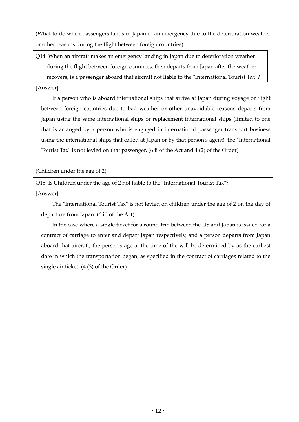(What to do when passengers lands in Japan in an emergency due to the deterioration weather or other reasons during the flight between foreign countries)

Q14: When an aircraft makes an emergency landing in Japan due to deterioration weather during the flight between foreign countries, then departs from Japan after the weather recovers, is a passenger aboard that aircraft not liable to the "International Tourist Tax"?

## [Answer]

If a person who is aboard international ships that arrive at Japan during voyage or flight between foreign countries due to bad weather or other unavoidable reasons departs from Japan using the same international ships or replacement international ships (limited to one that is arranged by a person who is engaged in international passenger transport business using the international ships that called at Japan or by that person's agent), the "International Tourist Tax" is not levied on that passenger. (6 ii of the Act and 4 (2) of the Order)

(Children under the age of 2)

Q15: Is Children under the age of 2 not liable to the "International Tourist Tax"?

[Answer]

The "International Tourist Tax" is not levied on children under the age of 2 on the day of departure from Japan. (6 iii of the Act)

In the case where a single ticket for a round-trip between the US and Japan is issued for a contract of carriage to enter and depart Japan respectively, and a person departs from Japan aboard that aircraft, the person's age at the time of the will be determined by as the earliest date in which the transportation began, as specified in the contract of carriages related to the single air ticket. (4 (3) of the Order)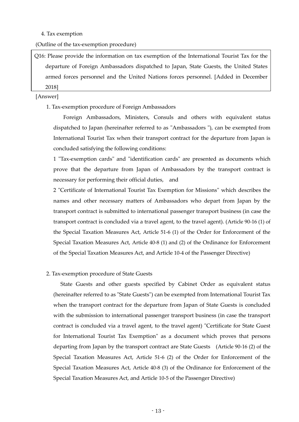#### 4. Tax exemption

(Outline of the tax-exemption procedure)

Q16: Please provide the information on tax exemption of the International Tourist Tax for the departure of Foreign Ambassadors dispatched to Japan, State Guests, the United States armed forces personnel and the United Nations forces personnel. [Added in December 2018]

[Answer]

1. Tax-exemption procedure of Foreign Ambassadors

Foreign Ambassadors, Ministers, Consuls and others with equivalent status dispatched to Japan (hereinafter referred to as "Ambassadors "), can be exempted from International Tourist Tax when their transport contract for the departure from Japan is concluded satisfying the following conditions:

1 "Tax-exemption cards" and "identification cards" are presented as documents which prove that the departure from Japan of Ambassadors by the transport contract is necessary for performing their official duties, and

2 "Certificate of International Tourist Tax Exemption for Missions" which describes the names and other necessary matters of Ambassadors who depart from Japan by the transport contract is submitted to international passenger transport business (in case the transport contract is concluded via a travel agent, to the travel agent). (Article 90-16 (1) of the Special Taxation Measures Act, Article 51-6 (1) of the Order for Enforcement of the Special Taxation Measures Act, Article 40-8 (1) and (2) of the Ordinance for Enforcement of the Special Taxation Measures Act, and Article 10-4 of the Passenger Directive)

#### 2. Tax-exemption procedure of State Guests

State Guests and other guests specified by Cabinet Order as equivalent status (hereinafter referred to as "State Guests") can be exempted from International Tourist Tax when the transport contract for the departure from Japan of State Guests is concluded with the submission to international passenger transport business (in case the transport contract is concluded via a travel agent, to the travel agent) "Certificate for State Guest for International Tourist Tax Exemption" as a document which proves that persons departing from Japan by the transport contract are State Guests (Article 90-16 (2) of the Special Taxation Measures Act, Article 51-6 (2) of the Order for Enforcement of the Special Taxation Measures Act, Article 40-8 (3) of the Ordinance for Enforcement of the Special Taxation Measures Act, and Article 10-5 of the Passenger Directive)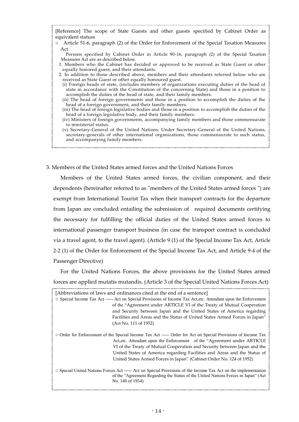| [Reference] The scope of State Guests and other guests specified by Cabinet Order as<br>equivalent statuss                                                                                                                     |
|--------------------------------------------------------------------------------------------------------------------------------------------------------------------------------------------------------------------------------|
|                                                                                                                                                                                                                                |
| Article 51-6, paragraph (2) of the Order for Enforcement of the Special Taxation Measures<br>$\circ$                                                                                                                           |
| Act                                                                                                                                                                                                                            |
| Persons specified by Cabinet Order in Article 90-16, paragraph (2) of the Special Taxation                                                                                                                                     |
| Measures Act are as described below.                                                                                                                                                                                           |
| 1. Members who the Cabinet has decided or approved to be received as State Guest or other                                                                                                                                      |
| equally honored guest, and their attendants.                                                                                                                                                                                   |
| 2. In addition to those described above, members and their attendants referred below who are                                                                                                                                   |
| received as State Guest or other equally honoured guest.                                                                                                                                                                       |
| (i) Foreign heads of state, (includes members of organizations executing duties of the head of                                                                                                                                 |
| state in accordance with the Constitution of the concerning State) and those in a position to<br>accomplish the duties of the head of state, and their family members.                                                         |
| (ii) The head of foreign governments and those in a position to accomplish the duties of the                                                                                                                                   |
| head of a foreign government, and their family members.                                                                                                                                                                        |
| (iii) The head of foreign legislative bodies and those in a position to accomplish the duties of the<br>head of a foreign legislative body, and their family members.                                                          |
|                                                                                                                                                                                                                                |
| (iv) Ministers of foreign governments, accompanying family members and those commensurate                                                                                                                                      |
| to ministerial status.                                                                                                                                                                                                         |
| (v) Secretary-General of the United Nations, Under Secretary-General of the United Nations,<br>secretary-generals of other international organizations, those commensurate to such status,<br>and accompanying family members. |
|                                                                                                                                                                                                                                |
|                                                                                                                                                                                                                                |

3. Members of the United States armed forces and the United Nations Forces

Members of the United States armed forces, the civilian component, and their dependents (hereinafter referred to as "members of the United States armed forces ") are exempt from International Tourist Tax when their transport contracts for the departure from Japan are concluded entailing the submission of required documents certifying the necessary for fulfilling the official duties of the United States armed forces to international passenger transport business (in case the transport contract is concluded via a travel agent, to the travel agent). (Article 9 (1) of the Special Income Tax Act, Article 2-2 (1) of the Order for Enforcement of the Special Income Tax Act, and Article 9-4 of the Passenger Directive)

For the United Nations Forces, the above provisions for the United States armed forces are applied mutatis mutandis. (Article 3 of the Special United Nations Forces Act) 

| [Abbreviations of laws and ordinances cited at the end of a sentence]                                                                                                                                                     |  |  |  |  |  |  |
|---------------------------------------------------------------------------------------------------------------------------------------------------------------------------------------------------------------------------|--|--|--|--|--|--|
| ○ Special Income Tax Act ----- Act on Special Provisions of Income Tax Act, etc. Attendant upon the Enforcement                                                                                                           |  |  |  |  |  |  |
| of the "Agreement under ARTICLE VI of the Treaty of Mutual Cooperation                                                                                                                                                    |  |  |  |  |  |  |
| and Security between Japan and the United States of America regarding                                                                                                                                                     |  |  |  |  |  |  |
| Facilities and Areas and the Status of United States Armed Forces in Japan"                                                                                                                                               |  |  |  |  |  |  |
| (Act No. 111 of 1952)                                                                                                                                                                                                     |  |  |  |  |  |  |
| ○ Order for Enforcement of the Special Income Tax Act ----- Order for Act on Special Provisions of Income Tax                                                                                                             |  |  |  |  |  |  |
| Act, etc. Attendant upon the Enforcement of the "Agreement under ARTICLE"                                                                                                                                                 |  |  |  |  |  |  |
|                                                                                                                                                                                                                           |  |  |  |  |  |  |
| VI of the Treaty of Mutual Cooperation and Security between Japan and the                                                                                                                                                 |  |  |  |  |  |  |
| United States of America regarding Facilities and Areas and the Status of                                                                                                                                                 |  |  |  |  |  |  |
| United States Armed Forces in Japan" (Cabinet Order No. 124 of 1952)                                                                                                                                                      |  |  |  |  |  |  |
| ○ Special United Nations Forces Act ----- Act on Special Provisions of the Income Tax Act on the implementation<br>of the "Agreement Regarding the Status of the United Nations Forces in Japan" (Act<br>No. 149 of 1954) |  |  |  |  |  |  |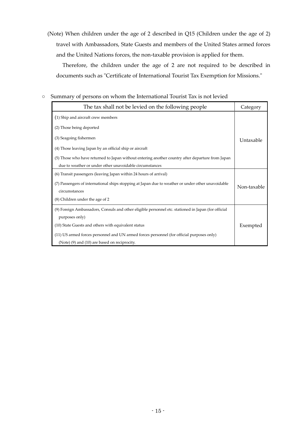(Note) When children under the age of 2 described in Q15 (Children under the age of 2) travel with Ambassadors, State Guests and members of the United States armed forces and the United Nations forces, the non-taxable provision is applied for them.

Therefore, the children under the age of 2 are not required to be described in documents such as "Certificate of International Tourist Tax Exemption for Missions."

## ○ Summary of persons on whom the International Tourist Tax is not levied

| The tax shall not be levied on the following people                                                 | Category    |
|-----------------------------------------------------------------------------------------------------|-------------|
| (1) Ship and aircraft crew members                                                                  |             |
| (2) Those being deported                                                                            |             |
| (3) Seagoing fishermen                                                                              | Untaxable   |
| (4) Those leaving Japan by an official ship or aircraft                                             |             |
| (5) Those who have returned to Japan without entering another country after departure from Japan    |             |
| due to weather or under other unavoidable circumstances                                             |             |
| (6) Transit passengers (leaving Japan within 24 hours of arrival)                                   |             |
| (7) Passengers of international ships stopping at Japan due to weather or under other unavoidable   | Non-taxable |
| circumstances                                                                                       |             |
| (8) Children under the age of 2                                                                     |             |
| (9) Foreign Ambassadors, Consuls and other eligible personnel etc. stationed in Japan (for official |             |
| purposes only)                                                                                      |             |
| (10) State Guests and others with equivalent status                                                 | Exempted    |
| (11) US armed forces personnel and UN armed forces personnel (for official purposes only)           |             |
| (Note) (9) and (10) are based on reciprocity.                                                       |             |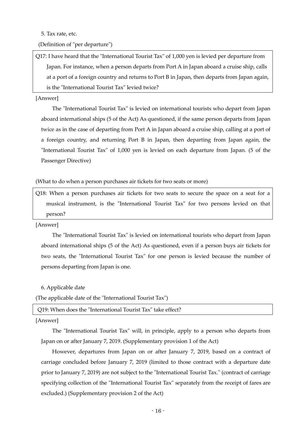5. Tax rate, etc.

(Definition of "per departure")

Q17: I have heard that the "International Tourist Tax" of 1,000 yen is levied per departure from Japan. For instance, when a person departs from Port A in Japan aboard a cruise ship, calls at a port of a foreign country and returns to Port B in Japan, then departs from Japan again, is the "International Tourist Tax" levied twice?

### [Answer]

The "International Tourist Tax" is levied on international tourists who depart from Japan aboard international ships (5 of the Act) As questioned, if the same person departs from Japan twice as in the case of departing from Port A in Japan aboard a cruise ship, calling at a port of a foreign country, and returning Port B in Japan, then departing from Japan again, the "International Tourist Tax" of 1,000 yen is levied on each departure from Japan. (5 of the Passenger Directive)

(What to do when a person purchases air tickets for two seats or more)

Q18: When a person purchases air tickets for two seats to secure the space on a seat for a musical instrument, is the "International Tourist Tax" for two persons levied on that person?

## [Answer]

The "International Tourist Tax" is levied on international tourists who depart from Japan aboard international ships (5 of the Act) As questioned, even if a person buys air tickets for two seats, the "International Tourist Tax" for one person is levied because the number of persons departing from Japan is one.

## 6. Applicable date

(The applicable date of the "International Tourist Tax")

Q19: When does the "International Tourist Tax" take effect?

## [Answer]

The "International Tourist Tax" will, in principle, apply to a person who departs from Japan on or after January 7, 2019. (Supplementary provision 1 of the Act)

However, departures from Japan on or after January 7, 2019, based on a contract of carriage concluded before January 7, 2019 (limited to those contract with a departure date prior to January 7, 2019) are not subject to the "International Tourist Tax." (contract of carriage specifying collection of the "International Tourist Tax" separately from the receipt of fares are excluded.) (Supplementary provision 2 of the Act)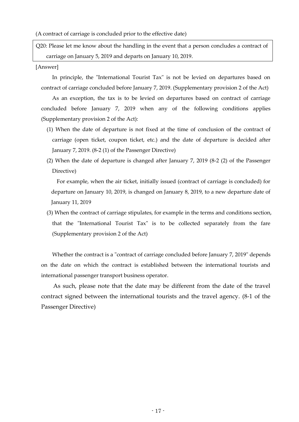(A contract of carriage is concluded prior to the effective date)

Q20: Please let me know about the handling in the event that a person concludes a contract of carriage on January 5, 2019 and departs on January 10, 2019.

[Answer]

In principle, the "International Tourist Tax" is not be levied on departures based on contract of carriage concluded before January 7, 2019. (Supplementary provision 2 of the Act)

As an exception, the tax is to be levied on departures based on contract of carriage concluded before January 7, 2019 when any of the following conditions applies (Supplementary provision 2 of the Act):

- (1) When the date of departure is not fixed at the time of conclusion of the contract of carriage (open ticket, coupon ticket, etc.) and the date of departure is decided after January 7, 2019. (8-2 (1) of the Passenger Directive)
- (2) When the date of departure is changed after January 7, 2019 (8-2 (2) of the Passenger Directive)

For example, when the air ticket, initially issued (contract of carriage is concluded) for departure on January 10, 2019, is changed on January 8, 2019, to a new departure date of January 11, 2019

(3) When the contract of carriage stipulates, for example in the terms and conditions section, that the "International Tourist Tax" is to be collected separately from the fare (Supplementary provision 2 of the Act)

Whether the contract is a "contract of carriage concluded before January 7, 2019" depends on the date on which the contract is established between the international tourists and international passenger transport business operator.

As such, please note that the date may be different from the date of the travel contract signed between the international tourists and the travel agency. (8-1 of the Passenger Directive)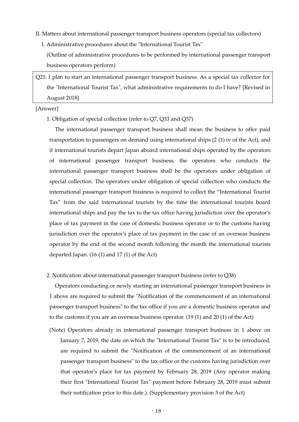- II. Matters about international passenger transport business operators (special tax collectors)
	- 1. Administrative procedures about the "International Tourist Tax"

 (Outline of administrative procedures to be performed by international passenger transport business operators perform)

Q21: I plan to start an international passenger transport business. As a special tax collector for the "International Tourist Tax", what administrative requirements to do I have? [Revised in August 2018]

#### [Answer]

1. Obligation of special collection (refer to Q7, Q33 and Q37)

The international passenger transport business shall mean the business to offer paid transportation to passengers on demand using international ships (2 (1) iv of the Act), and if international tourists depart Japan aboard international ships operated by the operators of international passenger transport business, the operators who conducts the international passenger transport business shall be the operators under obligation of special collection. The operators under obligation of special collection who conducts the international passenger transport business is required to collect the "International Tourist Tax" from the said international tourists by the time the international tourists board international ships and pay the tax to the tax office having jurisdiction over the operator's place of tax payment in the case of domestic business operator or to the customs having jurisdiction over the operator's place of tax payment in the case of an overseas business operator by the end of the second month following the month the international tourists departed Japan. (16 (1) and 17 (1) of the Act)

2. Notification about international passenger transport business (refer to Q38)

Operators conducting or newly starting an international passenger transport business in 1 above are required to submit the "Notification of the commencement of an international passenger transport business" to the tax office if you are a domestic business operator and to the customs if you are an overseas business operator. (19 (1) and 20 (1) of the Act)

(Note) Operators already in international passenger transport business in 1 above on January 7, 2019, the date on which the "International Tourist Tax" is to be introduced, are required to submit the "Notification of the commencement of an international passenger transport business" to the tax office or the customs having jurisdiction over that operator's place for tax payment by February 28, 2019 (Any operator making their first "International Tourist Tax" payment before February 28, 2019 must submit their notification prior to this date.). (Supplementary provision 3 of the Act)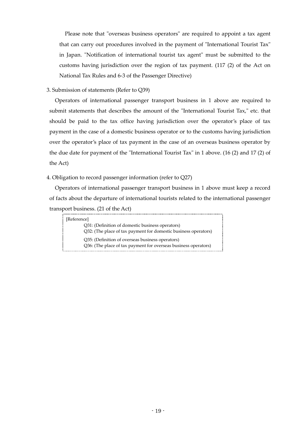Please note that "overseas business operators" are required to appoint a tax agent that can carry out procedures involved in the payment of "International Tourist Tax" in Japan. "Notification of international tourist tax agent" must be submitted to the customs having jurisdiction over the region of tax payment. (117 (2) of the Act on National Tax Rules and 6-3 of the Passenger Directive)

## 3. Submission of statements (Refer to Q39)

Operators of international passenger transport business in 1 above are required to submit statements that describes the amount of the "International Tourist Tax," etc. that should be paid to the tax office having jurisdiction over the operator's place of tax payment in the case of a domestic business operator or to the customs having jurisdiction over the operator's place of tax payment in the case of an overseas business operator by the due date for payment of the "International Tourist Tax" in 1 above. (16 (2) and 17 (2) of the Act)

## 4. Obligation to record passenger information (refer to Q27)

Operators of international passenger transport business in 1 above must keep a record of facts about the departure of international tourists related to the international passenger transport business. (21 of the Act)

| [Reference]                                                     |
|-----------------------------------------------------------------|
| Q31: (Definition of domestic business operators)                |
| Q32: (The place of tax payment for domestic business operators) |
| Q35: (Definition of overseas business operators)                |
| Q36: (The place of tax payment for overseas business operators) |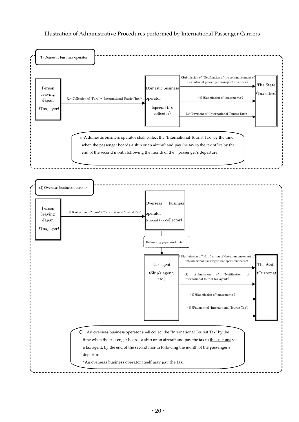- Illustration of Administrative Procedures performed by International Passenger Carriers -



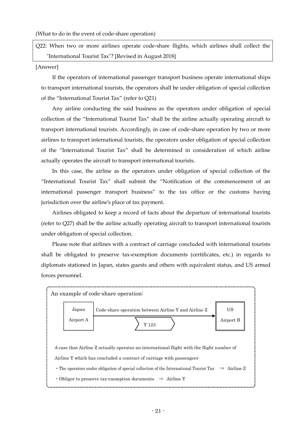(What to do in the event of code-share operation)

Q22: When two or more airlines operate code-share flights, which airlines shall collect the "International Tourist Tax"? [Revised in August 2018]

#### [Answer]

 If the operators of international passenger transport business operate international ships to transport international tourists, the operators shall be under obligation of special collection of the "International Tourist Tax" (refer to Q21)

 Any airline conducting the said business as the operators under obligation of special collection of the "International Tourist Tax" shall be the airline actually operating aircraft to transport international tourists. Accordingly, in case of code-share operation by two or more airlines to transport international tourists, the operators under obligation of special collection of the "International Tourist Tax" shall be determined in consideration of which airline actually operates the aircraft to transport international tourists.

In this case, the airline as the operators under obligation of special collection of the "International Tourist Tax" shall submit the "Notification of the commencement of an international passenger transport business" to the tax office or the customs having jurisdiction over the airline's place of tax payment.

Airlines obligated to keep a record of facts about the departure of international tourists (refer to Q27) shall be the airline actually operating aircraft to transport international tourists under obligation of special collection.

 Please note that airlines with a contract of carriage concluded with international tourists shall be obligated to preserve tax-exemption documents (certificates, etc.) in regards to diplomats stationed in Japan, states guests and others with equivalent status, and US armed forces personnel.

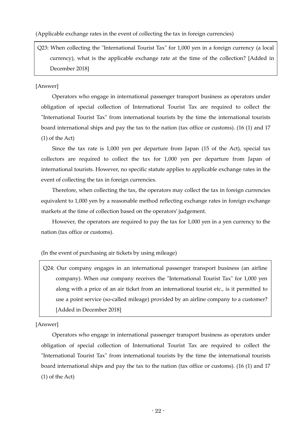(Applicable exchange rates in the event of collecting the tax in foreign currencies)

Q23: When collecting the "International Tourist Tax" for 1,000 yen in a foreign currency (a local currency), what is the applicable exchange rate at the time of the collection? [Added in December 2018]

## [Answer]

Operators who engage in international passenger transport business as operators under obligation of special collection of International Tourist Tax are required to collect the "International Tourist Tax" from international tourists by the time the international tourists board international ships and pay the tax to the nation (tax office or customs). (16 (1) and 17 (1) of the Act)

Since the tax rate is 1,000 yen per departure from Japan (15 of the Act), special tax collectors are required to collect the tax for 1,000 yen per departure from Japan of international tourists. However, no specific statute applies to applicable exchange rates in the event of collecting the tax in foreign currencies.

Therefore, when collecting the tax, the operators may collect the tax in foreign currencies equivalent to 1,000 yen by a reasonable method reflecting exchange rates in foreign exchange markets at the time of collection based on the operators' judgement.

However, the operators are required to pay the tax for 1,000 yen in a yen currency to the nation (tax office or customs).

(In the event of purchasing air tickets by using mileage)

Q24: Our company engages in an international passenger transport business (an airline company). When our company receives the "International Tourist Tax" for 1,000 yen along with a price of an air ticket from an international tourist etc., is it permitted to use a point service (so-called mileage) provided by an airline company to a customer? [Added in December 2018]

[Answer]

Operators who engage in international passenger transport business as operators under obligation of special collection of International Tourist Tax are required to collect the "International Tourist Tax" from international tourists by the time the international tourists board international ships and pay the tax to the nation (tax office or customs). (16 (1) and 17 (1) of the Act)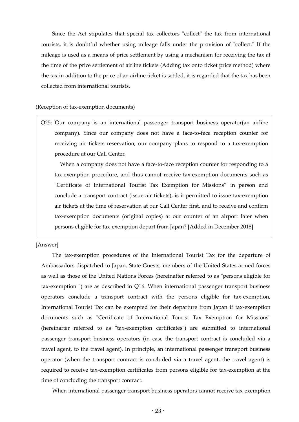Since the Act stipulates that special tax collectors "collect" the tax from international tourists, it is doubtful whether using mileage falls under the provision of "collect." If the mileage is used as a means of price settlement by using a mechanism for receiving the tax at the time of the price settlement of airline tickets (Adding tax onto ticket price method) where the tax in addition to the price of an airline ticket is settled, it is regarded that the tax has been collected from international tourists.

#### (Reception of tax-exemption documents)

Q25: Our company is an international passenger transport business operator(an airline company). Since our company does not have a face-to-face reception counter for receiving air tickets reservation, our company plans to respond to a tax-exemption procedure at our Call Center.

When a company does not have a face-to-face reception counter for responding to a tax-exemption procedure, and thus cannot receive tax-exemption documents such as "Certificate of International Tourist Tax Exemption for Missions" in person and conclude a transport contract (issue air tickets), is it permitted to issue tax-exemption air tickets at the time of reservation at our Call Center first, and to receive and confirm tax-exemption documents (original copies) at our counter of an airport later when persons eligible for tax-exemption depart from Japan? [Added in December 2018]

[Answer]

The tax-exemption procedures of the International Tourist Tax for the departure of Ambassadors dispatched to Japan, State Guests, members of the United States armed forces as well as those of the United Nations Forces (hereinafter referred to as "persons eligible for tax-exemption ") are as described in Q16. When international passenger transport business operators conclude a transport contract with the persons eligible for tax-exemption, International Tourist Tax can be exempted for their departure from Japan if tax-exemption documents such as "Certificate of International Tourist Tax Exemption for Missions" (hereinafter referred to as "tax-exemption certificates") are submitted to international passenger transport business operators (in case the transport contract is concluded via a travel agent, to the travel agent). In principle, an international passenger transport business operator (when the transport contract is concluded via a travel agent, the travel agent) is required to receive tax-exemption certificates from persons eligible for tax-exemption at the time of concluding the transport contract.

When international passenger transport business operators cannot receive tax-exemption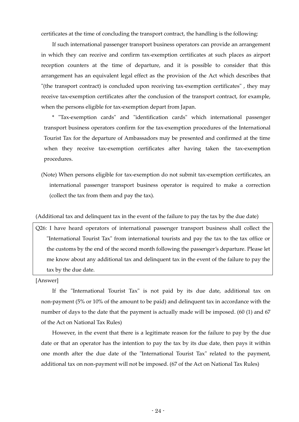certificates at the time of concluding the transport contract, the handling is the following:

If such international passenger transport business operators can provide an arrangement in which they can receive and confirm tax-exemption certificates at such places as airport reception counters at the time of departure, and it is possible to consider that this arrangement has an equivalent legal effect as the provision of the Act which describes that "(the transport contract) is concluded upon receiving tax-exemption certificates" , they may receive tax-exemption certificates after the conclusion of the transport contract, for example, when the persons eligible for tax-exemption depart from Japan.

\* "Tax-exemption cards" and "identification cards" which international passenger transport business operators confirm for the tax-exemption procedures of the International Tourist Tax for the departure of Ambassadors may be presented and confirmed at the time when they receive tax-exemption certificates after having taken the tax-exemption procedures.

(Note) When persons eligible for tax-exemption do not submit tax-exemption certificates, an international passenger transport business operator is required to make a correction (collect the tax from them and pay the tax).

(Additional tax and delinquent tax in the event of the failure to pay the tax by the due date)

Q26: I have heard operators of international passenger transport business shall collect the "International Tourist Tax" from international tourists and pay the tax to the tax office or the customs by the end of the second month following the passenger's departure. Please let me know about any additional tax and delinquent tax in the event of the failure to pay the tax by the due date.

[Answer]

If the "International Tourist Tax" is not paid by its due date, additional tax on non-payment (5% or 10% of the amount to be paid) and delinquent tax in accordance with the number of days to the date that the payment is actually made will be imposed. (60 (1) and 67 of the Act on National Tax Rules)

However, in the event that there is a legitimate reason for the failure to pay by the due date or that an operator has the intention to pay the tax by its due date, then pays it within one month after the due date of the "International Tourist Tax" related to the payment, additional tax on non-payment will not be imposed. (67 of the Act on National Tax Rules)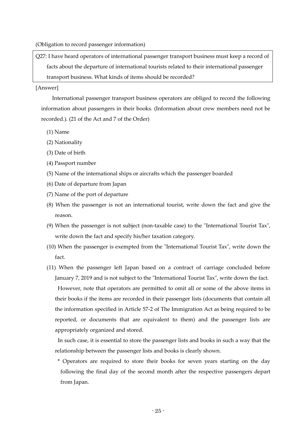(Obligation to record passenger information)

Q27: I have heard operators of international passenger transport business must keep a record of facts about the departure of international tourists related to their international passenger transport business. What kinds of items should be recorded?

#### [Answer]

International passenger transport business operators are obliged to record the following information about passengers in their books. (Information about crew members need not be recorded.). (21 of the Act and 7 of the Order)

- (1) Name
- (2) Nationality
- (3) Date of birth
- (4) Passport number
- (5) Name of the international ships or aircrafts which the passenger boarded
- (6) Date of departure from Japan
- (7) Name of the port of departure
- (8) When the passenger is not an international tourist, write down the fact and give the reason.
- (9) When the passenger is not subject (non-taxable case) to the "International Tourist Tax", write down the fact and specify his/her taxation category.
- (10) When the passenger is exempted from the "International Tourist Tax", write down the fact.
- (11) When the passenger left Japan based on a contract of carriage concluded before January 7, 2019 and is not subject to the "International Tourist Tax", write down the fact. However, note that operators are permitted to omit all or some of the above items in their books if the items are recorded in their passenger lists (documents that contain all the information specified in Article 57-2 of The Immigration Act as being required to be reported, or documents that are equivalent to them) and the passenger lists are appropriately organized and stored.

 In such case, it is essential to store the passenger lists and books in such a way that the relationship between the passenger lists and books is clearly shown.

 \* Operators are required to store their books for seven years starting on the day following the final day of the second month after the respective passengers depart from Japan.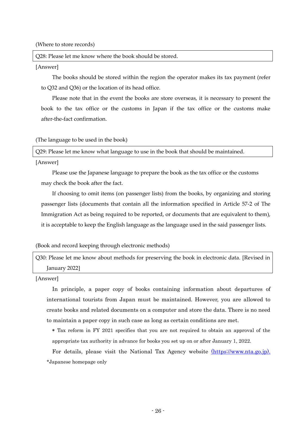(Where to store records)

Q28: Please let me know where the book should be stored.

[Answer]

The books should be stored within the region the operator makes its tax payment (refer to Q32 and Q36) or the location of its head office.

Please note that in the event the books are store overseas, it is necessary to present the book to the tax office or the customs in Japan if the tax office or the customs make after-the-fact confirmation.

## (The language to be used in the book)

Q29: Please let me know what language to use in the book that should be maintained.

[Answer]

Please use the Japanese language to prepare the book as the tax office or the customs may check the book after the fact.

If choosing to omit items (on passenger lists) from the books, by organizing and storing passenger lists (documents that contain all the information specified in Article 57-2 of The Immigration Act as being required to be reported, or documents that are equivalent to them), it is acceptable to keep the English language as the language used in the said passenger lists.

(Book and record keeping through electronic methods)

Q30: Please let me know about methods for preserving the book in electronic data. [Revised in January 2022]

[Answer]

In principle, a paper copy of books containing information about departures of international tourists from Japan must be maintained. However, you are allowed to create books and related documents on a computer and store the data. There is no need to maintain a paper copy in such case as long as certain conditions are met.

\* Tax reform in FY 2021 specifies that you are not required to obtain an approval of the appropriate tax authority in advance for books you set up on or after January 1, 2022.

 For details, please visit the National Tax Agency website [\(https://www.nta.go.jp\).](https://www.nta.go.jp/) \*Japanese homepage only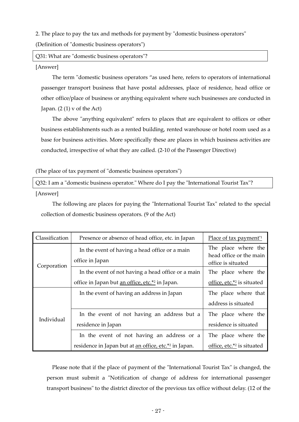2. The place to pay the tax and methods for payment by "domestic business operators"

(Definition of "domestic business operators")

Q31: What are "domestic business operators"?

#### [Answer]

The term "domestic business operators "as used here, refers to operators of international passenger transport business that have postal addresses, place of residence, head office or other office/place of business or anything equivalent where such businesses are conducted in Japan.  $(2(1)$  v of the Act)

The above "anything equivalent" refers to places that are equivalent to offices or other business establishments such as a rented building, rented warehouse or hotel room used as a base for business activities. More specifically these are places in which business activities are conducted, irrespective of what they are called. (2-10 of the Passenger Directive)

(The place of tax payment of "domestic business operators")

Q32: I am a "domestic business operator." Where do I pay the "International Tourist Tax"?

[Answer]

 The following are places for paying the "International Tourist Tax" related to the special collection of domestic business operators. (9 of the Act)

| Classification | Presence or absence of head office, etc. in Japan                 | Place of tax payment <sup>*1</sup>                                   |
|----------------|-------------------------------------------------------------------|----------------------------------------------------------------------|
| Corporation    | In the event of having a head office or a main<br>office in Japan | The place where the<br>head office or the main<br>office is situated |
|                | In the event of not having a head office or a main                | The place where the                                                  |
|                | office in Japan but <u>an office, etc.*2</u> in Japan.            | office, etc. $*$ <sup>2</sup> is situated                            |
|                | In the event of having an address in Japan                        | The place where that                                                 |
|                |                                                                   | address is situated                                                  |
| Individual     | In the event of not having an address but a                       | The place where the                                                  |
|                | residence in Japan                                                | residence is situated                                                |
|                | In the event of not having an address or a                        | The place where the                                                  |
|                | residence in Japan but at <u>an office, etc.</u> *2 in Japan.     | office, etc. $*$ <sup>2</sup> is situated                            |

 Please note that if the place of payment of the "International Tourist Tax" is changed, the person must submit a "Notification of change of address for international passenger transport business" to the district director of the previous tax office without delay. (12 of the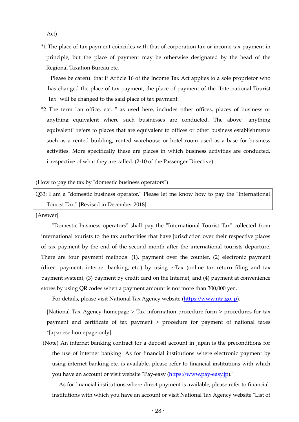Act)

\*1 The place of tax payment coincides with that of corporation tax or income tax payment in principle, but the place of payment may be otherwise designated by the head of the Regional Taxation Bureau etc.

 Please be careful that if Article 16 of the Income Tax Act applies to a sole proprietor who has changed the place of tax payment, the place of payment of the "International Tourist Tax" will be changed to the said place of tax payment.

\*2 The term "an office, etc. " as used here, includes other offices, places of business or anything equivalent where such businesses are conducted. The above "anything equivalent" refers to places that are equivalent to offices or other business establishments such as a rented building, rented warehouse or hotel room used as a base for business activities. More specifically these are places in which business activities are conducted, irrespective of what they are called. (2-10 of the Passenger Directive)

#### (How to pay the tax by "domestic business operators")

Q33: I am a "domestic business operator." Please let me know how to pay the "International Tourist Tax." [Revised in December 2018]

[Answer]

 "Domestic business operators" shall pay the "International Tourist Tax" collected from international tourists to the tax authorities that have jurisdiction over their respective places of tax payment by the end of the second month after the international tourists departure. There are four payment methods: (1), payment over the counter, (2) electronic payment (direct payment, internet banking, etc.) by using e-Tax (online tax return filing and tax payment system), (3) payment by credit card on the Internet, and (4) payment at convenience stores by using QR codes when a payment amount is not more than 300,000 yen.

For details, please visit National Tax Agency website [\(https://www.nta.go.jp\)](https://www.nta.go.jp/).

 [National Tax Agency homepage > Tax information-procedure-form > procedures for tax payment and certificate of tax payment > procedure for payment of national taxes \*Japanese homepage only]

(Note) An internet banking contract for a deposit account in Japan is the preconditions for the use of internet banking. As for financial institutions where electronic payment by using internet banking etc. is available, please refer to financial institutions with which you have an account or visit website "Pay-easy [\(https://www.pay-easy.jp\)](httsp://www.pay-easy.jp/)."

As for financial institutions where direct payment is available, please refer to financial institutions with which you have an account or visit National Tax Agency website "List of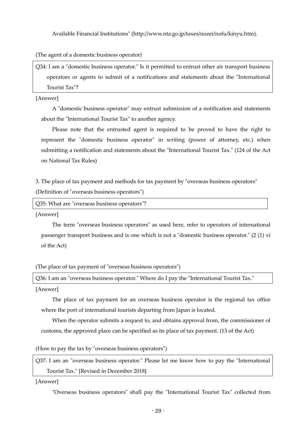Available Financial Institutions" (http://www.nta.go.jp/taxes/nozei/nofu/kinyu.htm).

(The agent of a domestic business operator)

Q34: I am a "domestic business operator." Is it permitted to entrust other air transport business operators or agents to submit of a notifications and statements about the "International Tourist Tax"?

[Answer]

A "domestic business operator" may entrust submission of a notification and statements about the "International Tourist Tax" to another agency.

Please note that the entrusted agent is required to be proved to have the right to represent the "domestic business operator" in writing (power of attorney, etc.) when submitting a notification and statements about the "International Tourist Tax." (124 of the Act on National Tax Rules)

3. The place of tax payment and methods for tax payment by "overseas business operators"

(Definition of "overseas business operators")

```
Q35: What are "overseas business operators"?
```
[Answer]

The term "overseas business operators" as used here, refer to operators of international passenger transport business and is one which is not a "domestic business operator." (2 (1) vi of the Act)

(The place of tax payment of "overseas business operators")

Q36: I am an "overseas business operator." Where do I pay the "International Tourist Tax."

[Answer]

The place of tax payment for an overseas business operator is the regional tax office where the port of international tourists departing from Japan is located.

When the operator submits a request to, and obtains approval from, the commissioner of customs, the approved place can be specified as its place of tax payment. (13 of the Act)

(How to pay the tax by "overseas business operators")

Q37: I am an "overseas business operator." Please let me know how to pay the "International Tourist Tax." [Revised in December 2018]

[Answer]

"Overseas business operators" shall pay the "International Tourist Tax" collected from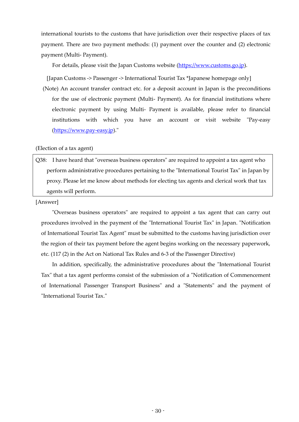international tourists to the customs that have jurisdiction over their respective places of tax payment. There are two payment methods: (1) payment over the counter and (2) electronic payment (Multi- Payment).

For details, please visit the Japan Customs website [\(https://www.customs.go.jp\)](https://www.customs.go.jp/).

[Japan Customs -> Passenger -> International Tourist Tax \*Japanese homepage only]

(Note) An account transfer contract etc. for a deposit account in Japan is the preconditions for the use of electronic payment (Multi- Payment). As for financial institutions where electronic payment by using Multi- Payment is available, please refer to financial institutions with which you have an account or visit website "Pay-easy [\(https://www.pay-easy.jp\)](https://www.pay-easy.jp/)."

(Election of a tax agent)

Q38: I have heard that "overseas business operators" are required to appoint a tax agent who perform administrative procedures pertaining to the "International Tourist Tax" in Japan by proxy. Please let me know about methods for electing tax agents and clerical work that tax agents will perform.

[Answer]

"Overseas business operators" are required to appoint a tax agent that can carry out procedures involved in the payment of the "International Tourist Tax" in Japan. "Notification of International Tourist Tax Agent" must be submitted to the customs having jurisdiction over the region of their tax payment before the agent begins working on the necessary paperwork, etc. (117 (2) in the Act on National Tax Rules and 6-3 of the Passenger Directive)

In addition, specifically, the administrative procedures about the "International Tourist Tax" that a tax agent performs consist of the submission of a "Notification of Commencement of International Passenger Transport Business" and a "Statements" and the payment of "International Tourist Tax."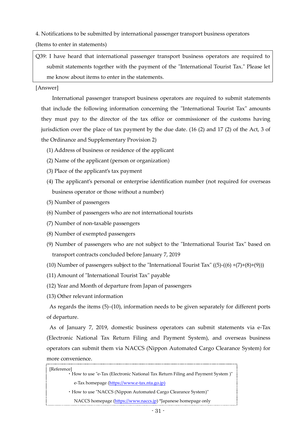4. Notifications to be submitted by international passenger transport business operators

(Items to enter in statements)

Q39: I have heard that international passenger transport business operators are required to submit statements together with the payment of the "International Tourist Tax." Please let me know about items to enter in the statements.

## [Answer]

International passenger transport business operators are required to submit statements that include the following information concerning the "International Tourist Tax" amounts they must pay to the director of the tax office or commissioner of the customs having jurisdiction over the place of tax payment by the due date. (16 (2) and 17 (2) of the Act, 3 of the Ordinance and Supplementary Provision 2)

- (1) Address of business or residence of the applicant
- (2) Name of the applicant (person or organization)
- (3) Place of the applicant's tax payment
- (4) The applicant's personal or enterprise identification number (not required for overseas business operator or those without a number)
- (5) Number of passengers
- (6) Number of passengers who are not international tourists
- (7) Number of non-taxable passengers
- (8) Number of exempted passengers
- (9) Number of passengers who are not subject to the "International Tourist Tax" based on transport contracts concluded before January 7, 2019
- (10) Number of passengers subject to the "International Tourist Tax"  $((5)-(6)+(7)+(8)+(9))$ )
- (11) Amount of "International Tourist Tax" payable
- (12) Year and Month of departure from Japan of passengers
- (13) Other relevant information

 As regards the items (5)–(10), information needs to be given separately for different ports of departure.

 As of January 7, 2019, domestic business operators can submit statements via e-Tax (Electronic National Tax Return Filing and Payment System), and overseas business operators can submit them via NACCS (Nippon Automated Cargo Clearance System) for more convenience.

| [Reference]<br>• How to use "e-Tax (Electronic National Tax Return Filing and Payment System )" |
|-------------------------------------------------------------------------------------------------|
| e-Tax homepage (https://www.e-tax.nta.go.jp)                                                    |
| • How to use "NACCS (Nippon Automated Cargo Clearance System)"                                  |
| NACCS homepage (https://www.naccs.jp) *Japanese homepage only                                   |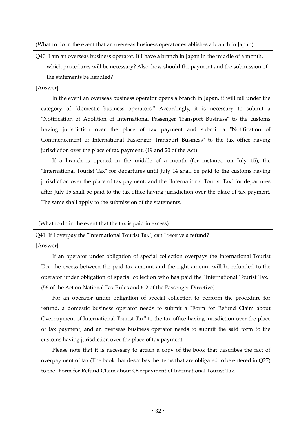(What to do in the event that an overseas business operator establishes a branch in Japan)

Q40: I am an overseas business operator. If I have a branch in Japan in the middle of a month, which procedures will be necessary? Also, how should the payment and the submission of the statements be handled?

#### [Answer]

In the event an overseas business operator opens a branch in Japan, it will fall under the category of "domestic business operators." Accordingly, it is necessary to submit a "Notification of Abolition of International Passenger Transport Business" to the customs having jurisdiction over the place of tax payment and submit a "Notification of Commencement of International Passenger Transport Business" to the tax office having jurisdiction over the place of tax payment. (19 and 20 of the Act)

If a branch is opened in the middle of a month (for instance, on July 15), the "International Tourist Tax" for departures until July 14 shall be paid to the customs having jurisdiction over the place of tax payment, and the "International Tourist Tax" for departures after July 15 shall be paid to the tax office having jurisdiction over the place of tax payment. The same shall apply to the submission of the statements.

(What to do in the event that the tax is paid in excess)

| Q41: If I overpay the "International Tourist Tax", can I receive a refund? |  |  |  |  |
|----------------------------------------------------------------------------|--|--|--|--|
| <b>FA</b>                                                                  |  |  |  |  |

[Answer]

If an operator under obligation of special collection overpays the International Tourist Tax, the excess between the paid tax amount and the right amount will be refunded to the operator under obligation of special collection who has paid the "International Tourist Tax." (56 of the Act on National Tax Rules and 6-2 of the Passenger Directive)

For an operator under obligation of special collection to perform the procedure for refund, a domestic business operator needs to submit a "Form for Refund Claim about Overpayment of International Tourist Tax" to the tax office having jurisdiction over the place of tax payment, and an overseas business operator needs to submit the said form to the customs having jurisdiction over the place of tax payment.

Please note that it is necessary to attach a copy of the book that describes the fact of overpayment of tax (The book that describes the items that are obligated to be entered in Q27) to the "Form for Refund Claim about Overpayment of International Tourist Tax."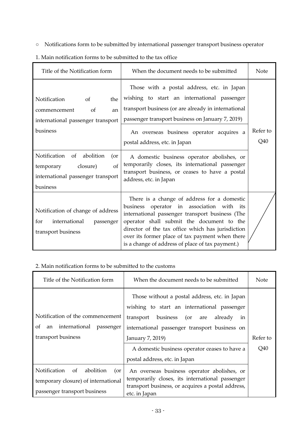- Notifications form to be submitted by international passenger transport business operator
- 1. Main notification forms to be submitted to the tax office

| Title of the Notification form                                                                                                                              | When the document needs to be submitted                                                                                                                                                                                                                                                                                                                                            | <b>Note</b>     |
|-------------------------------------------------------------------------------------------------------------------------------------------------------------|------------------------------------------------------------------------------------------------------------------------------------------------------------------------------------------------------------------------------------------------------------------------------------------------------------------------------------------------------------------------------------|-----------------|
| Notification<br><sub>of</sub><br>the<br>of<br>an<br>commencement<br>international passenger transport<br>business<br>Notification<br>abolition<br>of<br>(or | Those with a postal address, etc. in Japan<br>wishing to start an international passenger<br>transport business (or are already in international<br>passenger transport business on January 7, 2019)<br>An overseas business operator acquires a<br>postal address, etc. in Japan<br>A domestic business operator abolishes, or<br>temporarily closes, its international passenger | Refer to<br>Q40 |
| <sub>of</sub><br>closure)<br>temporary<br>international passenger transport<br>business                                                                     | transport business, or ceases to have a postal<br>address, etc. in Japan                                                                                                                                                                                                                                                                                                           |                 |
| Notification of change of address<br>international<br>for<br>passenger<br>transport business                                                                | There is a change of address for a domestic<br>operator in association with<br>business<br>its<br>international passenger transport business (The<br>operator shall submit the document to the<br>director of the tax office which has jurisdiction<br>over its former place of tax payment when there<br>is a change of address of place of tax payment.)                         |                 |

## 2. Main notification forms to be submitted to the customs

| Title of the Notification form                                                                                | When the document needs to be submitted                                                                                                                                                                                                                                                               | Note            |
|---------------------------------------------------------------------------------------------------------------|-------------------------------------------------------------------------------------------------------------------------------------------------------------------------------------------------------------------------------------------------------------------------------------------------------|-----------------|
| Notification of the commencement<br>an international<br>οf<br>passenger<br>transport business                 | Those without a postal address, etc. in Japan<br>wishing to start an international passenger<br>business (or are<br>transport<br>already<br>in<br>international passenger transport business on<br>January 7, 2019)<br>A domestic business operator ceases to have a<br>postal address, etc. in Japan | Refer to<br>Q40 |
| Notification<br>abolition<br>of<br>(or<br>temporary closure) of international<br>passenger transport business | An overseas business operator abolishes, or<br>temporarily closes, its international passenger<br>transport business, or acquires a postal address,<br>etc. in Japan                                                                                                                                  |                 |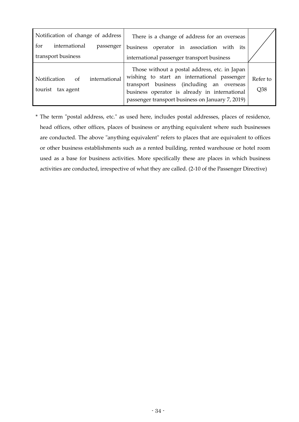| Notification of change of address<br>international<br>for<br>passenger | There is a change of address for an overseas                                                                                                                                                                                                   |                 |
|------------------------------------------------------------------------|------------------------------------------------------------------------------------------------------------------------------------------------------------------------------------------------------------------------------------------------|-----------------|
| transport business                                                     | business operator in association with its<br>international passenger transport business                                                                                                                                                        |                 |
| international<br><b>Notification</b><br>of<br>tourist tax agent        | Those without a postal address, etc. in Japan<br>wishing to start an international passenger<br>transport business (including an overseas<br>business operator is already in international<br>passenger transport business on January 7, 2019) | Refer to<br>Q38 |

\* The term "postal address, etc." as used here, includes postal addresses, places of residence, head offices, other offices, places of business or anything equivalent where such businesses are conducted. The above "anything equivalent" refers to places that are equivalent to offices or other business establishments such as a rented building, rented warehouse or hotel room used as a base for business activities. More specifically these are places in which business activities are conducted, irrespective of what they are called. (2-10 of the Passenger Directive)